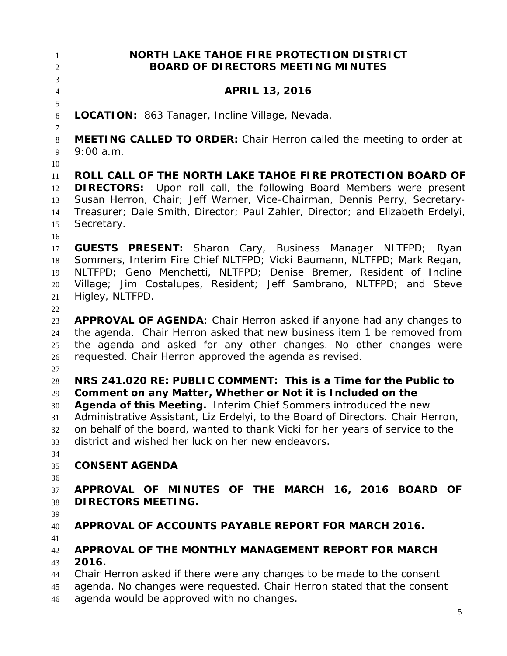**NORTH LAKE TAHOE FIRE PROTECTION DISTRICT BOARD OF DIRECTORS MEETING MINUTES APRIL 13, 2016 LOCATION:** 863 Tanager, Incline Village, Nevada. **MEETING CALLED TO ORDER:** Chair Herron called the meeting to order at 9:00 a.m. **ROLL CALL OF THE NORTH LAKE TAHOE FIRE PROTECTION BOARD OF DIRECTORS:** Upon roll call, the following Board Members were present Susan Herron, Chair; Jeff Warner, Vice-Chairman, Dennis Perry, Secretary- Treasurer; Dale Smith, Director; Paul Zahler, Director; and Elizabeth Erdelyi, Secretary. **GUESTS PRESENT:** Sharon Cary, Business Manager NLTFPD; Ryan Sommers, Interim Fire Chief NLTFPD; Vicki Baumann, NLTFPD; Mark Regan, NLTFPD; Geno Menchetti, NLTFPD; Denise Bremer, Resident of Incline Village; Jim Costalupes, Resident; Jeff Sambrano, NLTFPD; and Steve Higley, NLTFPD. **APPROVAL OF AGENDA**: Chair Herron asked if anyone had any changes to the agenda. Chair Herron asked that new business item 1 be removed from the agenda and asked for any other changes. No other changes were requested. Chair Herron approved the agenda as revised. **NRS 241.020 RE: PUBLIC COMMENT: This is a Time for the Public to Comment on any Matter, Whether or Not it is Included on the Agenda of this Meeting.** Interim Chief Sommers introduced the new Administrative Assistant, Liz Erdelyi, to the Board of Directors. Chair Herron, on behalf of the board, wanted to thank Vicki for her years of service to the district and wished her luck on her new endeavors. **CONSENT AGENDA APPROVAL OF MINUTES OF THE MARCH 16, 2016 BOARD OF DIRECTORS MEETING. APPROVAL OF ACCOUNTS PAYABLE REPORT FOR MARCH 2016. APPROVAL OF THE MONTHLY MANAGEMENT REPORT FOR MARCH 2016.**  Chair Herron asked if there were any changes to be made to the consent agenda. No changes were requested. Chair Herron stated that the consent agenda would be approved with no changes.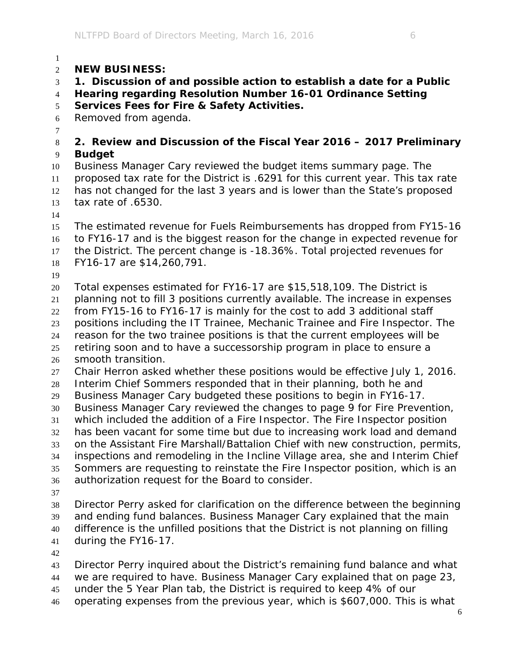## **NEW BUSINESS:**

**1. Discussion of and possible action to establish a date for a Public** 

**Hearing regarding Resolution Number 16-01 Ordinance Setting** 

## **Services Fees for Fire & Safety Activities.**

Removed from agenda.

## 

## **2. Review and Discussion of the Fiscal Year 2016 – 2017 Preliminary Budget**

 Business Manager Cary reviewed the budget items summary page. The proposed tax rate for the District is .6291 for this current year. This tax rate has not changed for the last 3 years and is lower than the State's proposed tax rate of .6530.

 The estimated revenue for Fuels Reimbursements has dropped from FY15-16 to FY16-17 and is the biggest reason for the change in expected revenue for the District. The percent change is -18.36%. Total projected revenues for FY16-17 are \$14,260,791.

 Total expenses estimated for FY16-17 are \$15,518,109. The District is planning not to fill 3 positions currently available. The increase in expenses from FY15-16 to FY16-17 is mainly for the cost to add 3 additional staff positions including the IT Trainee, Mechanic Trainee and Fire Inspector. The reason for the two trainee positions is that the current employees will be retiring soon and to have a successorship program in place to ensure a smooth transition. Chair Herron asked whether these positions would be effective July 1, 2016. Interim Chief Sommers responded that in their planning, both he and

Business Manager Cary budgeted these positions to begin in FY16-17.

Business Manager Cary reviewed the changes to page 9 for Fire Prevention,

which included the addition of a Fire Inspector. The Fire Inspector position

 has been vacant for some time but due to increasing work load and demand on the Assistant Fire Marshall/Battalion Chief with new construction, permits,

 inspections and remodeling in the Incline Village area, she and Interim Chief Sommers are requesting to reinstate the Fire Inspector position, which is an

- authorization request for the Board to consider.
- 

 Director Perry asked for clarification on the difference between the beginning and ending fund balances. Business Manager Cary explained that the main difference is the unfilled positions that the District is not planning on filling during the FY16-17.

Director Perry inquired about the District's remaining fund balance and what

 we are required to have. Business Manager Cary explained that on page 23, under the 5 Year Plan tab, the District is required to keep 4% of our

- 
- operating expenses from the previous year, which is \$607,000. This is what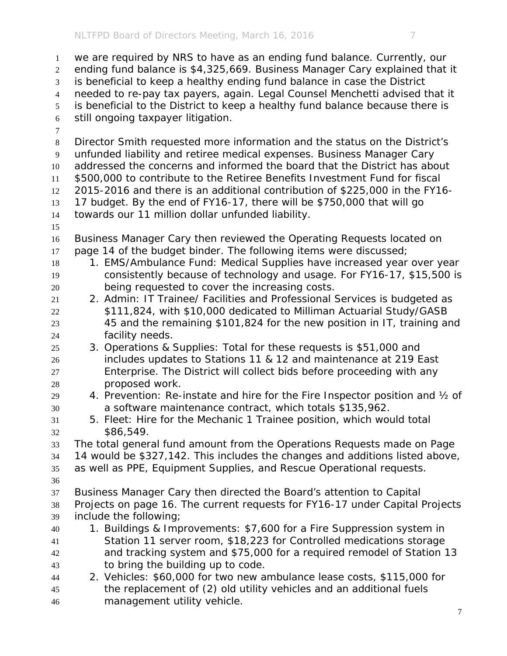we are required by NRS to have as an ending fund balance. Currently, our ending fund balance is \$4,325,669. Business Manager Cary explained that it is beneficial to keep a healthy ending fund balance in case the District needed to re-pay tax payers, again. Legal Counsel Menchetti advised that it is beneficial to the District to keep a healthy fund balance because there is still ongoing taxpayer litigation. Director Smith requested more information and the status on the District's unfunded liability and retiree medical expenses. Business Manager Cary addressed the concerns and informed the board that the District has about \$500,000 to contribute to the Retiree Benefits Investment Fund for fiscal 2015-2016 and there is an additional contribution of \$225,000 in the FY16- 17 budget. By the end of FY16-17, there will be \$750,000 that will go towards our 11 million dollar unfunded liability. Business Manager Cary then reviewed the Operating Requests located on 17 page 14 of the budget binder. The following items were discussed; 18 1. EMS/Ambulance Fund: Medical Supplies have increased year over year consistently because of technology and usage. For FY16-17, \$15,500 is being requested to cover the increasing costs. 2. Admin: IT Trainee/ Facilities and Professional Services is budgeted as \$111,824, with \$10,000 dedicated to Milliman Actuarial Study/GASB 45 and the remaining \$101,824 for the new position in IT, training and facility needs. 3. Operations & Supplies: Total for these requests is \$51,000 and includes updates to Stations 11 & 12 and maintenance at 219 East Enterprise. The District will collect bids before proceeding with any proposed work. 4. Prevention: Re-instate and hire for the Fire Inspector position and ½ of a software maintenance contract, which totals \$135,962. 5. Fleet: Hire for the Mechanic 1 Trainee position, which would total \$86,549. The total general fund amount from the Operations Requests made on Page 14 would be \$327,142. This includes the changes and additions listed above, as well as PPE, Equipment Supplies, and Rescue Operational requests. Business Manager Cary then directed the Board's attention to Capital Projects on page 16. The current requests for FY16-17 under Capital Projects include the following; 1. Buildings & Improvements: \$7,600 for a Fire Suppression system in Station 11 server room, \$18,223 for Controlled medications storage and tracking system and \$75,000 for a required remodel of Station 13 to bring the building up to code. 2. Vehicles: \$60,000 for two new ambulance lease costs, \$115,000 for the replacement of (2) old utility vehicles and an additional fuels management utility vehicle.